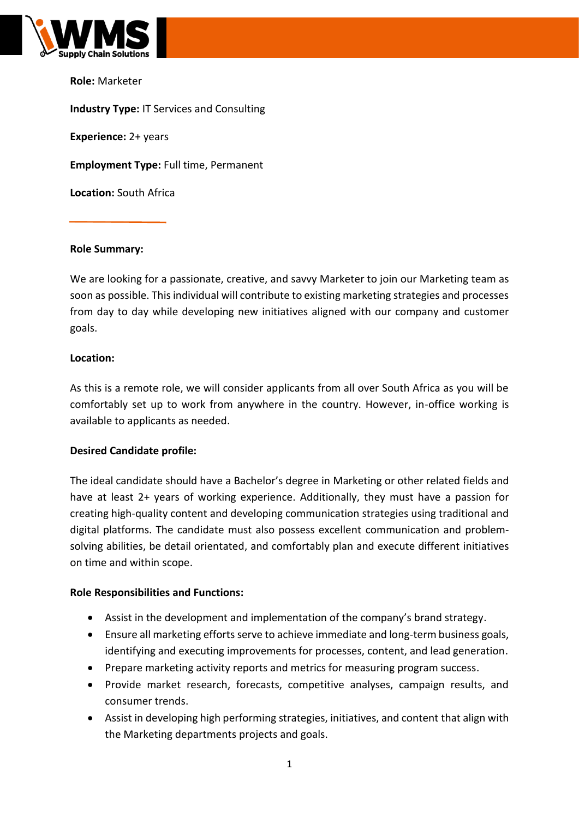

**Role:** Marketer

**Industry Type:** IT Services and Consulting **Experience:** 2+ years **Employment Type:** Full time, Permanent **Location:** South Africa

## **Role Summary:**

We are looking for a passionate, creative, and savvy Marketer to join our Marketing team as soon as possible. This individual will contribute to existing marketing strategies and processes from day to day while developing new initiatives aligned with our company and customer goals.

## **Location:**

As this is a remote role, we will consider applicants from all over South Africa as you will be comfortably set up to work from anywhere in the country. However, in-office working is available to applicants as needed.

## **Desired Candidate profile:**

The ideal candidate should have a Bachelor's degree in Marketing or other related fields and have at least 2+ years of working experience. Additionally, they must have a passion for creating high-quality content and developing communication strategies using traditional and digital platforms. The candidate must also possess excellent communication and problemsolving abilities, be detail orientated, and comfortably plan and execute different initiatives on time and within scope.

#### **Role Responsibilities and Functions:**

- Assist in the development and implementation of the company's brand strategy.
- Ensure all marketing efforts serve to achieve immediate and long-term business goals, identifying and executing improvements for processes, content, and lead generation.
- Prepare marketing activity reports and metrics for measuring program success.
- Provide market research, forecasts, competitive analyses, campaign results, and consumer trends.
- Assist in developing high performing strategies, initiatives, and content that align with the Marketing departments projects and goals.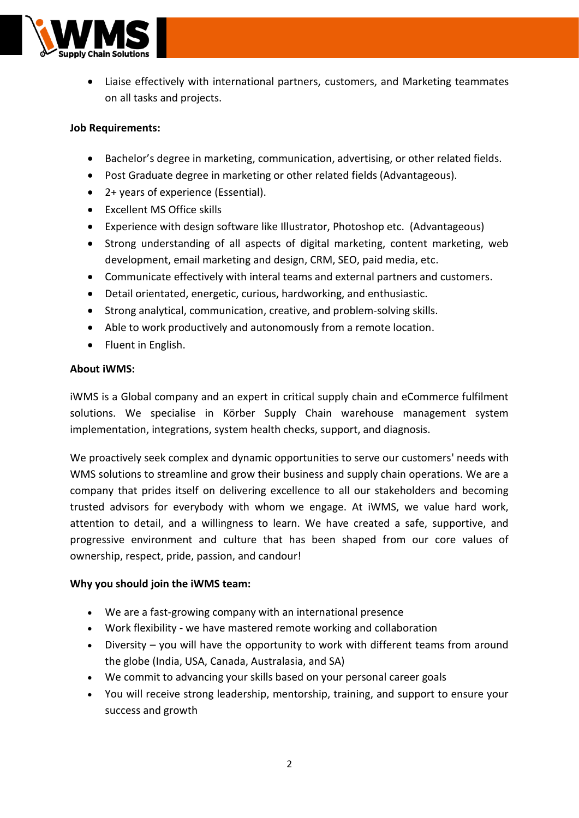

• Liaise effectively with international partners, customers, and Marketing teammates on all tasks and projects.

# **Job Requirements:**

- Bachelor's degree in marketing, communication, advertising, or other related fields.
- Post Graduate degree in marketing or other related fields (Advantageous).
- 2+ years of experience (Essential).
- Excellent MS Office skills
- Experience with design software like Illustrator, Photoshop etc. (Advantageous)
- Strong understanding of all aspects of digital marketing, content marketing, web development, email marketing and design, CRM, SEO, paid media, etc.
- Communicate effectively with interal teams and external partners and customers.
- Detail orientated, energetic, curious, hardworking, and enthusiastic.
- Strong analytical, communication, creative, and problem-solving skills.
- Able to work productively and autonomously from a remote location.
- Fluent in English.

## **About iWMS:**

iWMS is a Global company and an expert in critical supply chain and eCommerce fulfilment solutions. We specialise in Körber Supply Chain warehouse management system implementation, integrations, system health checks, support, and diagnosis.

We proactively seek complex and dynamic opportunities to serve our customers' needs with WMS solutions to streamline and grow their business and supply chain operations. We are a company that prides itself on delivering excellence to all our stakeholders and becoming trusted advisors for everybody with whom we engage. At iWMS, we value hard work, attention to detail, and a willingness to learn. We have created a safe, supportive, and progressive environment and culture that has been shaped from our core values of ownership, respect, pride, passion, and candour!

## **Why you should join the iWMS team:**

- We are a fast-growing company with an international presence
- Work flexibility we have mastered remote working and collaboration
- Diversity you will have the opportunity to work with different teams from around the globe (India, USA, Canada, Australasia, and SA)
- We commit to advancing your skills based on your personal career goals
- You will receive strong leadership, mentorship, training, and support to ensure your success and growth